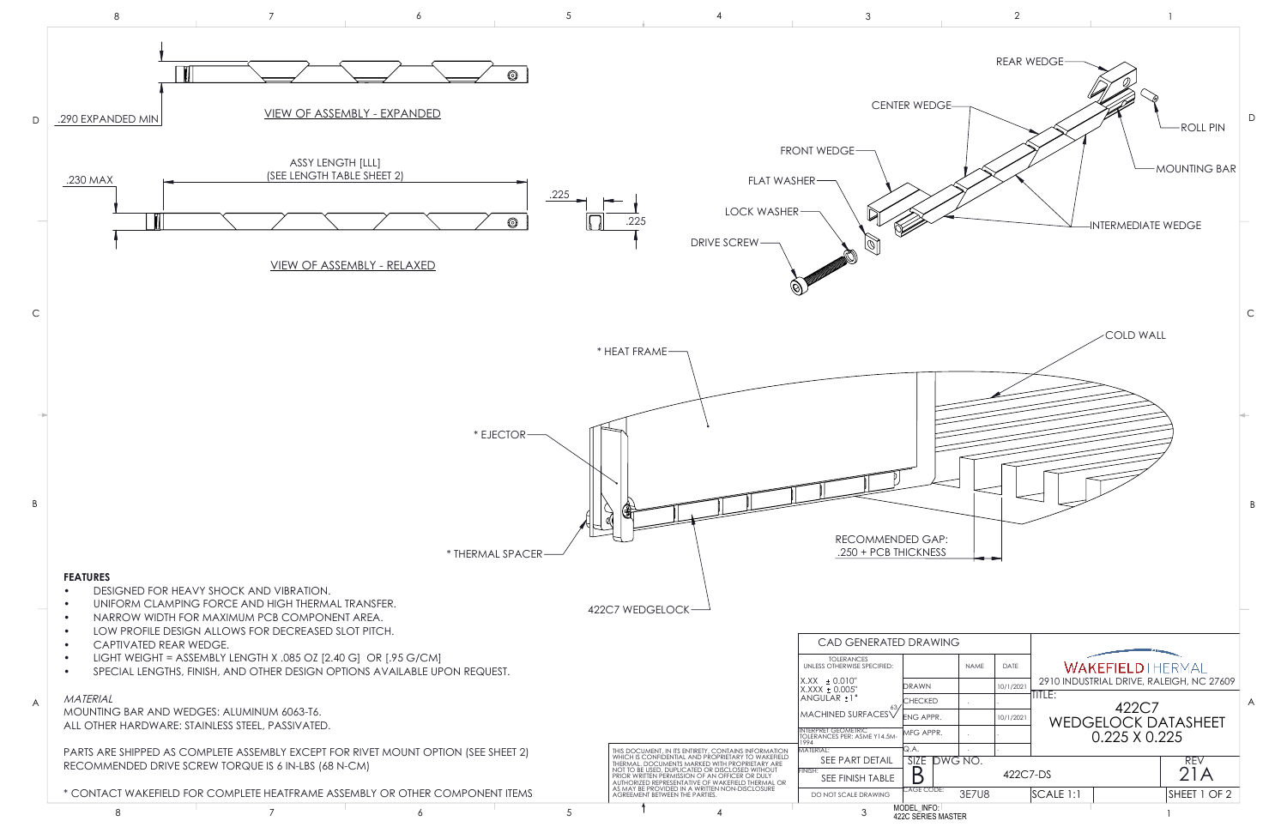